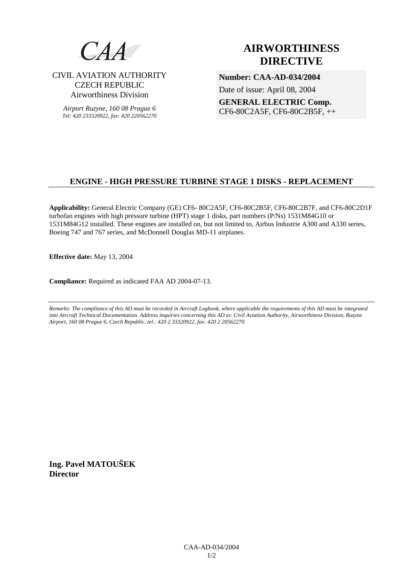

CIVIL AVIATION AUTHORITY CZECH REPUBLIC Airworthiness Division

*Airport Ruzyne, 160 08 Prague 6 Tel: 420 233320922, fax: 420 220562270*

# **AIRWORTHINESS DIRECTIVE**

**Number: CAA-AD-034/2004**  Date of issue: April 08, 2004 **GENERAL ELECTRIC Comp.**  CF6-80C2A5F, CF6-80C2B5F, ++

# **ENGINE - HIGH PRESSURE TURBINE STAGE 1 DISKS - REPLACEMENT**

**Applicability:** General Electric Company (GE) CF6- 80C2A5F, CF6-80C2B5F, CF6-80C2B7F, and CF6-80C2D1F turbofan engines with high pressure turbine (HPT) stage 1 disks, part numbers (P/Ns) 1531M84G10 or 1531M84G12 installed. These engines are installed on, but not limited to, Airbus Industrie A300 and A330 series, Boeing 747 and 767 series, and McDonnell Douglas MD-11 airplanes.

**Effective date:** May 13, 2004

**Compliance:** Required as indicated FAA AD 2004-07-13.

*Remarks: The compliance of this AD must be recorded in Aircraft Logbook, where applicable the requirements of this AD must be integrated into Aircraft Technical Documentation. Address inquiries concerning this AD to: Civil Aviation Authority, Airworthiness Division, Ruzyne Airport, 160 08 Prague 6, Czech Republic, tel.: 420 2 33320922, fax: 420 2 20562270.* 

**Ing. Pavel MATOUŠEK Director**